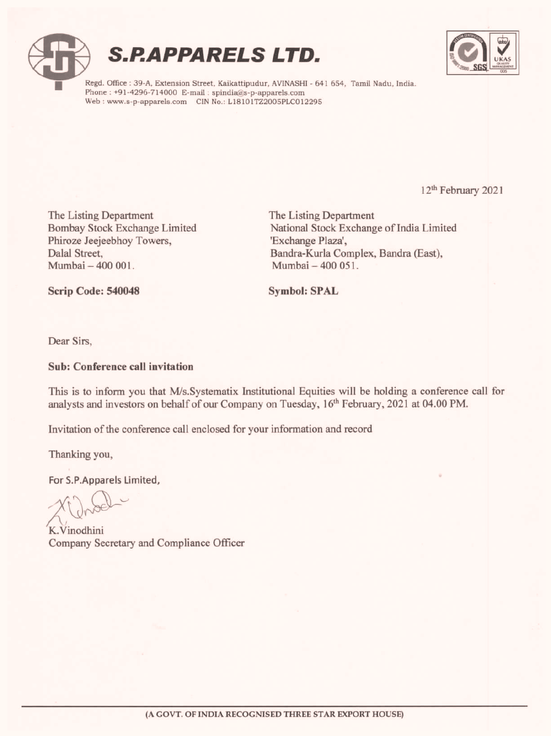





Regd. Office : 39-A, Extension Street, Kaikattipudur, AVINASHI - 641 654, Tamil Nadu, India. Phone : +91-4296-714000 E-mail : spindia@s-p-apparels.com Web : www.s-p-apparels.com CIN No.: L18101TZ2005PLC012295

12" February 2021

è

The Listing Department The Listing Department Phiroze Jeejeebhoy Towers, 'Exchange Plaza', Mumbai — 400 001. Mumbai — 400 051. The Listing Department<br>
Bombay Stock Exchange Limited<br>
Mational Stock Exchange Plazar,<br>
Dalia Street,<br>
Dalia Street, Bandra-Kurla Complex, Bandra-Kurla Complex, Bandra-Kurla Complex, Bandra-Kurla Complex, Bandra-Kurla Com

Bombay Stock Exchange Limited National Stock Exchange of India Limited Dalal Street, Bandra-Kurla Complex, Bandra (East),

Scrip Code: 540048 Symbol: SPAL

Dear Sirs,

#### Sub: Conference call invitation

This is to inform you that M/s.Systematix Institutional Equities will be holding a conference call for analysts and investors on behalf of our Company on Tuesday, 16" February, 2021 at 04.00 PM.

Invitation of the conference call enclosed for your information and record

Thanking you,

For S.P.Apparels Limited,

K.Vinodhini Company Secretary and Compliance Officer